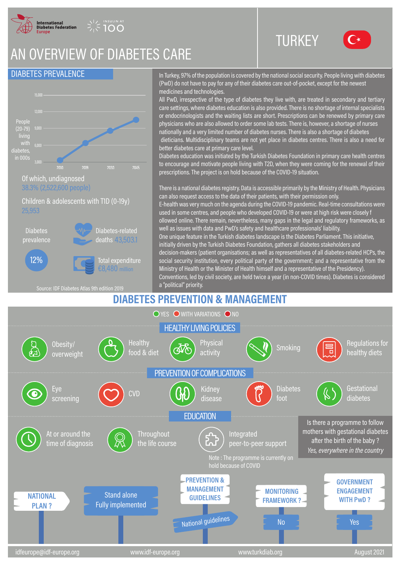

**INSULIN AT** 

# AN OVERVIEW OF DIABETES CARE

### DIABETES PREVALENCE



#### 38.3% (2,522,600 people)

Children & adolescents with T1D (0-19y) 25,953



Source: IDF Diabetes Atlas 9th edition 2019

In Turkey, 97% of the population is covered by the national social security. People living with diabetes (PwD) do not have to pay for any of their diabetes care out-of-pocket, except for the newest medicines and technologies.

**TURKEY** 

All PwD, irrespective of the type of diabetes they live with, are treated in secondary and tertiary care settings, where diabetes education is also provided. There is no shortage of internal specialists or endocrinologists and the waiting lists are short. Prescriptions can be renewed by primary care physicians who are also allowed to order some lab tests. There is, however, a shortage of nurses nationally and a very limited number of diabetes nurses. There is also a shortage of diabetes dieticians. Multidisciplinary teams are not yet place in diabetes centres. There is also a need for better diabetes care at primary care level.

Diabetes education was initiated by the Turkish Diabetes Foundation in primary care health centres to encourage and motivate people living with T2D, when they were coming for the renewal of their prescriptions. The project is on hold because of the COVID-19 situation.

There is a national diabetes registry. Data is accessible primarily by the Ministry of Health. Physicians can also request access to the data of their patients, with their permission only. E-health was very much on the agenda during the COVID-19 pandemic. Real-time consultations were used in some centres, and people who developed COVID-19 or were at high risk were closely f ollowed online. There remain, nevertheless, many gaps in the legal and regulatory frameworks, as well as issues with data and PwD's safety and healthcare professionals' liability. One unique feature in the Turkish diabetes landscape is the Diabetes Parliament. This initiative, initially driven by the Turkish Diabetes Foundation, gathers all diabetes stakeholders and decision-makers (patient organisations; as well as representatives of all diabetes-related HCPs, the social security institution, every political party of the government; and a representative from the Ministry of Health or the Minister of Health himself and a representative of the Presidency). Conventions, led by civil society, are held twice a year (in non-COVID times). Diabetes is considered

### **DIABETES PREVENTION & MANAGEMENT**

a "political" priority.

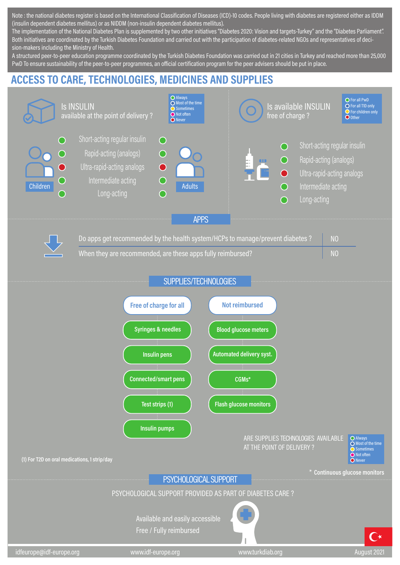Note: the national diabetes register is based on the International Classification of Diseases (ICD)-10 codes. People living with diabetes are registered either as IDDM (insulin dependent diabetes mellitus) or as NIDDM (non-insulin dependent diabetes mellitus).

The implementation of the National Diabetes Plan is supplemented by two other initiatives "Diabetes 2020: Vision and targets-Turkey" and the "Diabetes Parliament". Both initiatives are coordinated by the Turkish Diabetes Foundation and carried out with the participation of diabetes-related NGOs and representatives of decision-makers including the Ministry of Health.

A structured peer-to-peer education programme coordinated by the Turkish Diabetes Foundation was carried out in 21 cities in Turkey and reached more than 25,000 PwD To ensure sustainability of the peer-to-peer programmes, an official certification program for the peer advisers should be put in place.

## **ACCESS TO CARE, TECHNOLOGIES, MEDICINES AND SUPPLIES**